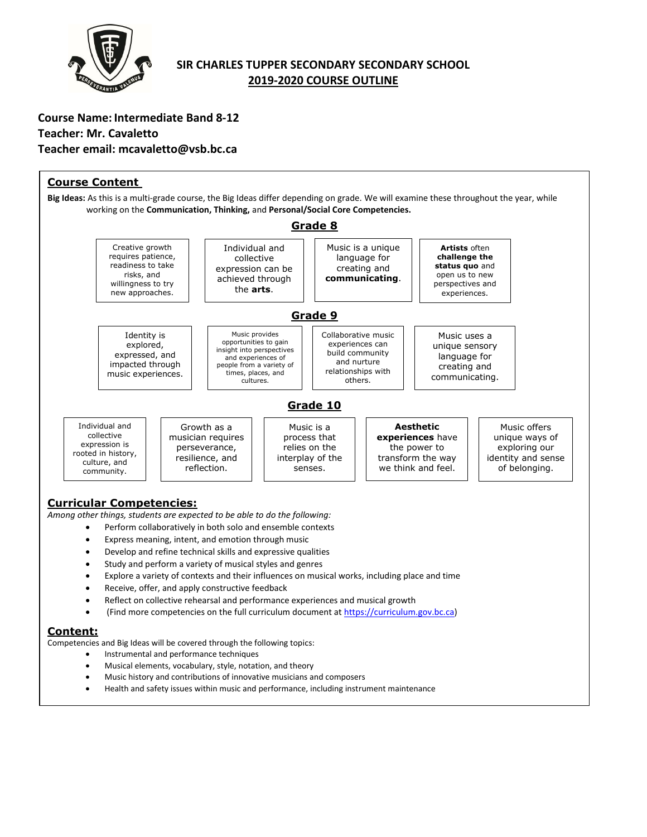

## **SIR CHARLES TUPPER SECONDARY SECONDARY SCHOOL 2019-2020 COURSE OUTLINE**

**Course Name: Intermediate Band 8-12 Teacher: Mr. Cavaletto Teacher email: mcavaletto@vsb.bc.ca**